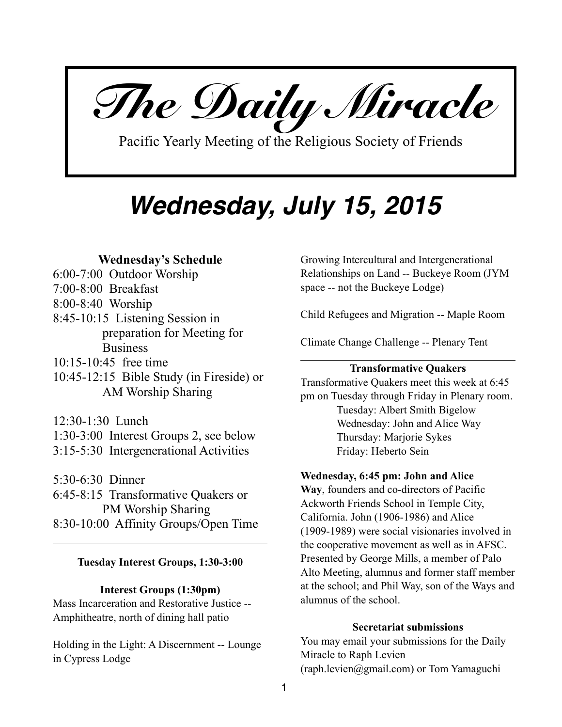*The Daily Miracle* 

Pacific Yearly Meeting of the Religious Society of Friends

# *Wednesday, July 15, 2015*

# **Wednesday's Schedule**

- 6:00-7:00 Outdoor Worship
- 7:00-8:00 Breakfast
- 8:00-8:40 Worship
- 8:45-10:15 Listening Session in preparation for Meeting for **Business**

10:15-10:45 free time

10:45-12:15 Bible Study (in Fireside) or AM Worship Sharing

12:30-1:30 Lunch

1:30-3:00 Interest Groups 2, see below 3:15-5:30 Intergenerational Activities

5:30-6:30 Dinner

6:45-8:15 Transformative Quakers or PM Worship Sharing 8:30-10:00 Affinity Groups/Open Time

# **Tuesday Interest Groups, 1:30-3:00**

# **Interest Groups (1:30pm)**

Mass Incarceration and Restorative Justice -- Amphitheatre, north of dining hall patio

Holding in the Light: A Discernment -- Lounge in Cypress Lodge

Growing Intercultural and Intergenerational Relationships on Land -- Buckeye Room (JYM space -- not the Buckeye Lodge)

Child Refugees and Migration -- Maple Room

Climate Change Challenge -- Plenary Tent

# **Transformative Quakers**

Transformative Quakers meet this week at 6:45 pm on Tuesday through Friday in Plenary room. Tuesday: Albert Smith Bigelow Wednesday: John and Alice Way Thursday: Marjorie Sykes Friday: Heberto Sein

## **Wednesday, 6:45 pm: John and Alice**

**Way**, founders and co-directors of Pacific Ackworth Friends School in Temple City, California. John (1906-1986) and Alice (1909-1989) were social visionaries involved in the cooperative movement as well as in AFSC. Presented by George Mills, a member of Palo Alto Meeting, alumnus and former staff member at the school; and Phil Way, son of the Ways and alumnus of the school.

# **Secretariat submissions**

You may email your submissions for the Daily Miracle to Raph Levien (raph.levien@gmail.com) or Tom Yamaguchi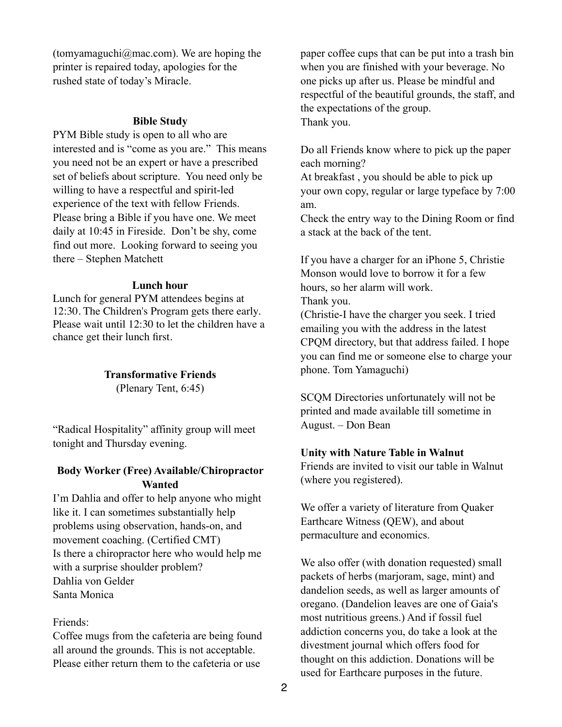(tomyamaguchi $(\partial \text{mac.com})$ ). We are hoping the printer is repaired today, apologies for the rushed state of today's Miracle.

#### **Bible Study**

PYM Bible study is open to all who are interested and is "come as you are." This means you need not be an expert or have a prescribed set of beliefs about scripture. You need only be willing to have a respectful and spirit-led experience of the text with fellow Friends. Please bring a Bible if you have one. We meet daily at 10:45 in Fireside. Don't be shy, come find out more. Looking forward to seeing you there – Stephen Matchett

## **Lunch hour**

Lunch for general PYM attendees begins at 12:30. The Children's Program gets there early. Please wait until 12:30 to let the children have a chance get their lunch first.

## **Transformative Friends**

(Plenary Tent, 6:45)

"Radical Hospitality" affinity group will meet tonight and Thursday evening.

# **Body Worker (Free) Available/Chiropractor Wanted**

I'm Dahlia and offer to help anyone who might like it. I can sometimes substantially help problems using observation, hands-on, and movement coaching. (Certified CMT) Is there a chiropractor here who would help me with a surprise shoulder problem? Dahlia von Gelder Santa Monica

## Friends:

Coffee mugs from the cafeteria are being found all around the grounds. This is not acceptable. Please either return them to the cafeteria or use

paper coffee cups that can be put into a trash bin when you are finished with your beverage. No one picks up after us. Please be mindful and respectful of the beautiful grounds, the staff, and the expectations of the group. Thank you.

Do all Friends know where to pick up the paper each morning?

At breakfast , you should be able to pick up your own copy, regular or large typeface by 7:00 am.

Check the entry way to the Dining Room or find a stack at the back of the tent.

If you have a charger for an iPhone 5, Christie Monson would love to borrow it for a few hours, so her alarm will work. Thank you.

(Christie-I have the charger you seek. I tried emailing you with the address in the latest CPQM directory, but that address failed. I hope you can find me or someone else to charge your phone. Tom Yamaguchi)

SCQM Directories unfortunately will not be printed and made available till sometime in August. – Don Bean

#### **Unity with Nature Table in Walnut**

Friends are invited to visit our table in Walnut (where you registered).

We offer a variety of literature from Quaker Earthcare Witness (QEW), and about permaculture and economics.

We also offer (with donation requested) small packets of herbs (marjoram, sage, mint) and dandelion seeds, as well as larger amounts of oregano. (Dandelion leaves are one of Gaia's most nutritious greens.) And if fossil fuel addiction concerns you, do take a look at the divestment journal which offers food for thought on this addiction. Donations will be used for Earthcare purposes in the future.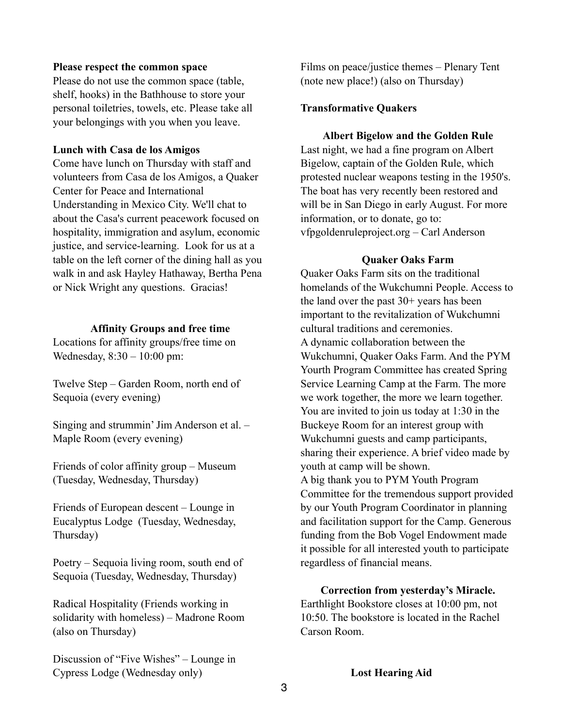## **Please respect the common space**

Please do not use the common space (table, shelf, hooks) in the Bathhouse to store your personal toiletries, towels, etc. Please take all your belongings with you when you leave.

#### **Lunch with Casa de los Amigos**

Come have lunch on Thursday with staff and volunteers from Casa de los Amigos, a Quaker Center for Peace and International Understanding in Mexico City. We'll chat to about the Casa's current peacework focused on hospitality, immigration and asylum, economic justice, and service-learning. Look for us at a table on the left corner of the dining hall as you walk in and ask Hayley Hathaway, Bertha Pena or Nick Wright any questions. Gracias!

#### **Affinity Groups and free time**

Locations for affinity groups/free time on Wednesday, 8:30 – 10:00 pm:

Twelve Step – Garden Room, north end of Sequoia (every evening)

Singing and strummin' Jim Anderson et al. – Maple Room (every evening)

Friends of color affinity group – Museum (Tuesday, Wednesday, Thursday)

Friends of European descent – Lounge in Eucalyptus Lodge (Tuesday, Wednesday, Thursday)

Poetry – Sequoia living room, south end of Sequoia (Tuesday, Wednesday, Thursday)

Radical Hospitality (Friends working in solidarity with homeless) – Madrone Room (also on Thursday)

Discussion of "Five Wishes" – Lounge in Cypress Lodge (Wednesday only)

Films on peace/justice themes – Plenary Tent (note new place!) (also on Thursday)

#### **Transformative Quakers**

**Albert Bigelow and the Golden Rule**  Last night, we had a fine program on Albert Bigelow, captain of the Golden Rule, which protested nuclear weapons testing in the 1950's. The boat has very recently been restored and will be in San Diego in early August. For more information, or to donate, go to: vfpgoldenruleproject.org – Carl Anderson

#### **Quaker Oaks Farm**

Quaker Oaks Farm sits on the traditional homelands of the Wukchumni People. Access to the land over the past 30+ years has been important to the revitalization of Wukchumni cultural traditions and ceremonies. A dynamic collaboration between the Wukchumni, Quaker Oaks Farm. And the PYM Yourth Program Committee has created Spring Service Learning Camp at the Farm. The more we work together, the more we learn together. You are invited to join us today at 1:30 in the Buckeye Room for an interest group with Wukchumni guests and camp participants, sharing their experience. A brief video made by youth at camp will be shown. A big thank you to PYM Youth Program Committee for the tremendous support provided by our Youth Program Coordinator in planning and facilitation support for the Camp. Generous funding from the Bob Vogel Endowment made it possible for all interested youth to participate regardless of financial means.

**Correction from yesterday's Miracle.**  Earthlight Bookstore closes at 10:00 pm, not 10:50. The bookstore is located in the Rachel Carson Room.